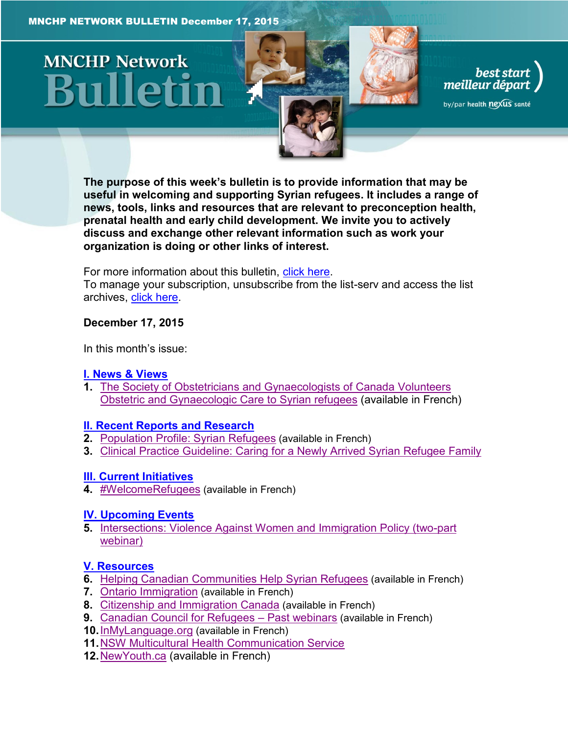# **MNCHP Network**





by/par health nexus santé

**The purpose of this week's bulletin is to provide information that may be useful in welcoming and supporting Syrian refugees. It includes a range of news, tools, links and resources that are relevant to preconception health, prenatal health and early child development. We invite you to actively discuss and exchange other relevant information such as work your organization is doing or other links of interest.** 

For more information about this bulletin, [click here.](#page-13-0)

To manage your subscription, unsubscribe from the list-serv and access the list archives, [click here.](http://en.beststart.org/services/information-exchange)

#### <span id="page-0-0"></span>**December 17, 2015**

In this month's issue:

#### **I. News [& Views](#page-1-0)**

**1.** [The Society of Obstetricians and Gynaecologists of Canada Volunteers](#page-1-1)  [Obstetric and Gynaecologic Care to Syrian refugees](#page-1-1) (available in French)

#### **[II. Recent Reports and](#page-2-0) Research**

- **2.** [Population Profile: Syrian Refugees](#page-2-1) (available in French)
- **3.** [Clinical Practice Guideline: Caring for a Newly Arrived Syrian Refugee Family](#page-3-0)

#### **[III. Current Initiatives](#page-4-0)**

4. **[#WelcomeRefugees](#page-4-0)** (available in French)

#### **[IV. Upcoming Events](#page-4-1)**

**5.** [Intersections: Violence Against Women and Immigration Policy \(two-part](#page-4-2)  [webinar\)](#page-4-2)

#### **[V. Resources](#page-5-0)**

- **6.** [Helping Canadian Communities](#page-5-1) Help Syrian Refugees (available in French)
- **7.** [Ontario Immigration](#page-5-2) (available in French)
- **8.** [Citizenship and Immigration Canada](#page-5-3) (available in French)
- **9.** [Canadian Council for Refugees](#page-6-0)  Past webinars (available in French)
- **10.**[InMyLanguage.org](#page-6-1) (available in French)
- **11.**[NSW Multicultural Health Communication Service](#page-6-2)
- **12.**[NewYouth.ca](#page-7-0) (available in French)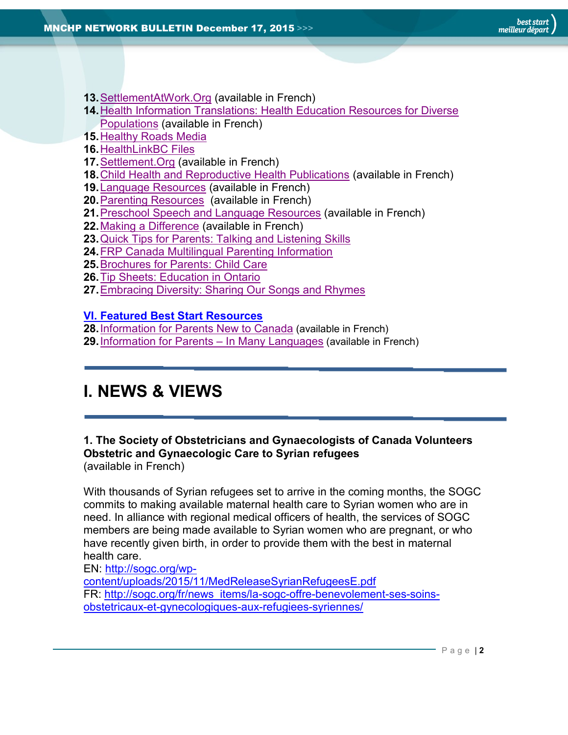- **13.**[SettlementAtWork.Org](#page-7-1) (available in French)
- **14.**[Health Information Translations: Health Education Resources for Diverse](#page-7-2)  [Populations](#page-7-2) (available in French)
- **15.**[Healthy Roads Media](#page-8-0)
- **16.**[HealthLinkBC Files](#page-8-1)
- **17.**[Settlement.Org](#page-8-2) (available in French)
- **18.**[Child Health and Reproductive Health Publications](#page-8-3) (available in French)
- **19.**[Language Resources](#page-9-0) (available in French)
- **20.**[Parenting Resources](#page-9-1) (available in French)
- **21.**[Preschool Speech and Language Resources](#page-10-0) (available in French)
- **22.**[Making a Difference](#page-10-1) (available in French)
- **23.**[Quick Tips for Parents: Talking and Listening Skills](#page-10-2)
- **24.**[FRP Canada Multilingual Parenting Information](#page-11-0)
- **25.**[Brochures for Parents: Child Care](#page-11-1)
- **26.**[Tip Sheets: Education in Ontario](#page-12-0)
- **27.**[Embracing Diversity: Sharing Our Songs and Rhymes](#page-12-1)

#### **[VI. Featured Best Start Resources](#page-12-2)**

- **28.**[Information for Parents New to Canada](#page-13-1) (available in French)
- **29.**[Information for Parents](#page-13-2)  In Many Languages (available in French)

## <span id="page-1-0"></span>**I. NEWS & VIEWS**

## <span id="page-1-1"></span>**1. The Society of Obstetricians and Gynaecologists of Canada Volunteers Obstetric and Gynaecologic Care to Syrian refugees**

(available in French)

With thousands of Syrian refugees set to arrive in the coming months, the SOGC commits to making available maternal health care to Syrian women who are in need. In alliance with regional medical officers of health, the services of SOGC members are being made available to Syrian women who are pregnant, or who have recently given birth, in order to provide them with the best in maternal health care.

EN: [http://sogc.org/wp](http://sogc.org/wp-content/uploads/2015/11/MedReleaseSyrianRefugeesE.pdf)[content/uploads/2015/11/MedReleaseSyrianRefugeesE.pdf](http://sogc.org/wp-content/uploads/2015/11/MedReleaseSyrianRefugeesE.pdf) FR: [http://sogc.org/fr/news\\_items/la-sogc-offre-benevolement-ses-soins](http://sogc.org/fr/news_items/la-sogc-offre-benevolement-ses-soins-obstetricaux-et-gynecologiques-aux-refugiees-syriennes/)[obstetricaux-et-gynecologiques-aux-refugiees-syriennes/](http://sogc.org/fr/news_items/la-sogc-offre-benevolement-ses-soins-obstetricaux-et-gynecologiques-aux-refugiees-syriennes/)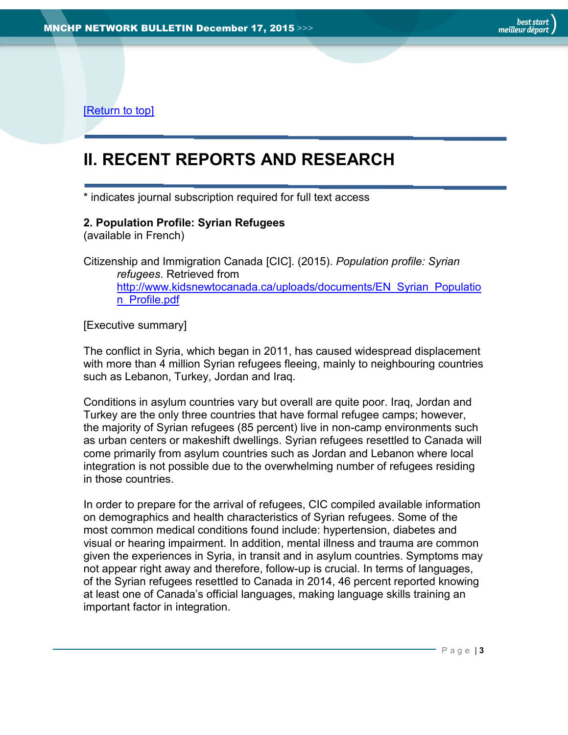[\[Return to top\]](#page-0-0)

# <span id="page-2-0"></span>**II. RECENT REPORTS AND RESEARCH**

\* indicates journal subscription required for full text access

#### <span id="page-2-1"></span>**2. Population Profile: Syrian Refugees**

(available in French)

Citizenship and Immigration Canada [CIC]. (2015). *Population profile: Syrian refugees*. Retrieved from [http://www.kidsnewtocanada.ca/uploads/documents/EN\\_Syrian\\_Populatio](http://www.kidsnewtocanada.ca/uploads/documents/EN_Syrian_Population_Profile.pdf) [n\\_Profile.pdf](http://www.kidsnewtocanada.ca/uploads/documents/EN_Syrian_Population_Profile.pdf)

[Executive summary]

The conflict in Syria, which began in 2011, has caused widespread displacement with more than 4 million Syrian refugees fleeing, mainly to neighbouring countries such as Lebanon, Turkey, Jordan and Iraq.

Conditions in asylum countries vary but overall are quite poor. Iraq, Jordan and Turkey are the only three countries that have formal refugee camps; however, the majority of Syrian refugees (85 percent) live in non-camp environments such as urban centers or makeshift dwellings. Syrian refugees resettled to Canada will come primarily from asylum countries such as Jordan and Lebanon where local integration is not possible due to the overwhelming number of refugees residing in those countries.

In order to prepare for the arrival of refugees, CIC compiled available information on demographics and health characteristics of Syrian refugees. Some of the most common medical conditions found include: hypertension, diabetes and visual or hearing impairment. In addition, mental illness and trauma are common given the experiences in Syria, in transit and in asylum countries. Symptoms may not appear right away and therefore, follow-up is crucial. In terms of languages, of the Syrian refugees resettled to Canada in 2014, 46 percent reported knowing at least one of Canada's official languages, making language skills training an important factor in integration.

P a g e | **3**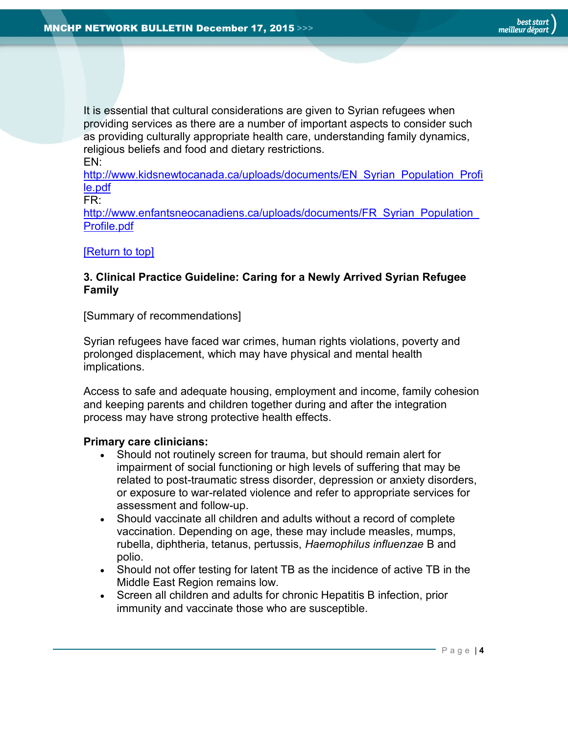It is essential that cultural considerations are given to Syrian refugees when providing services as there are a number of important aspects to consider such as providing culturally appropriate health care, understanding family dynamics, religious beliefs and food and dietary restrictions. EN:

[http://www.kidsnewtocanada.ca/uploads/documents/EN\\_Syrian\\_Population\\_Profi](http://www.kidsnewtocanada.ca/uploads/documents/EN_Syrian_Population_Profile.pdf) [le.pdf](http://www.kidsnewtocanada.ca/uploads/documents/EN_Syrian_Population_Profile.pdf)

FR:

http://www.enfantsneocanadiens.ca/uploads/documents/FR\_Syrian\_Population [Profile.pdf](http://www.enfantsneocanadiens.ca/uploads/documents/FR_Syrian_Population_Profile.pdf)

#### [\[Return to top\]](#page-0-0)

#### <span id="page-3-0"></span>**3. Clinical Practice Guideline: Caring for a Newly Arrived Syrian Refugee Family**

[Summary of recommendations]

Syrian refugees have faced war crimes, human rights violations, poverty and prolonged displacement, which may have physical and mental health implications.

Access to safe and adequate housing, employment and income, family cohesion and keeping parents and children together during and after the integration process may have strong protective health effects.

#### **Primary care clinicians:**

- Should not routinely screen for trauma, but should remain alert for impairment of social functioning or high levels of suffering that may be related to post-traumatic stress disorder, depression or anxiety disorders, or exposure to war-related violence and refer to appropriate services for assessment and follow-up.
- Should vaccinate all children and adults without a record of complete vaccination. Depending on age, these may include measles, mumps, rubella, diphtheria, tetanus, pertussis, *Haemophilus influenzae* B and polio.
- Should not offer testing for latent TB as the incidence of active TB in the Middle East Region remains low.
- Screen all children and adults for chronic Hepatitis B infection, prior immunity and vaccinate those who are susceptible.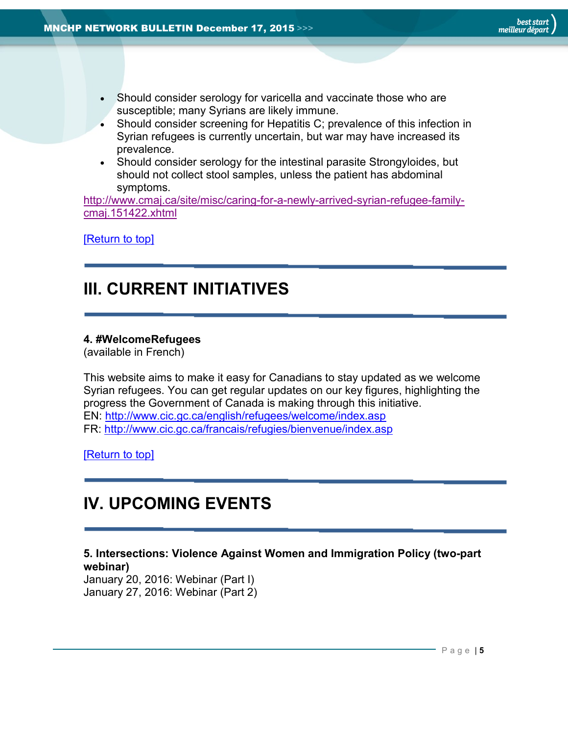- Should consider serology for varicella and vaccinate those who are susceptible; many Syrians are likely immune.
- Should consider screening for Hepatitis C; prevalence of this infection in Syrian refugees is currently uncertain, but war may have increased its prevalence.
- Should consider serology for the intestinal parasite Strongyloides, but should not collect stool samples, unless the patient has abdominal symptoms.

[http://www.cmaj.ca/site/misc/caring-for-a-newly-arrived-syrian-refugee-family](http://www.cmaj.ca/site/misc/caring-for-a-newly-arrived-syrian-refugee-family-cmaj.151422.xhtml)[cmaj.151422.xhtml](http://www.cmaj.ca/site/misc/caring-for-a-newly-arrived-syrian-refugee-family-cmaj.151422.xhtml)

[\[Return to top\]](#page-0-0)

## <span id="page-4-0"></span>**III. CURRENT INITIATIVES**

#### **4. #WelcomeRefugees**

(available in French)

This website aims to make it easy for Canadians to stay updated as we welcome Syrian refugees. You can get regular updates on our key figures, highlighting the progress the Government of Canada is making through this initiative. EN:<http://www.cic.gc.ca/english/refugees/welcome/index.asp> FR:<http://www.cic.gc.ca/francais/refugies/bienvenue/index.asp>

[\[Return to top\]](#page-0-0)

## <span id="page-4-1"></span>**IV. UPCOMING EVENTS**

#### <span id="page-4-2"></span>**5. Intersections: Violence Against Women and Immigration Policy (two-part webinar)**

January 20, 2016: Webinar (Part I) January 27, 2016: Webinar (Part 2)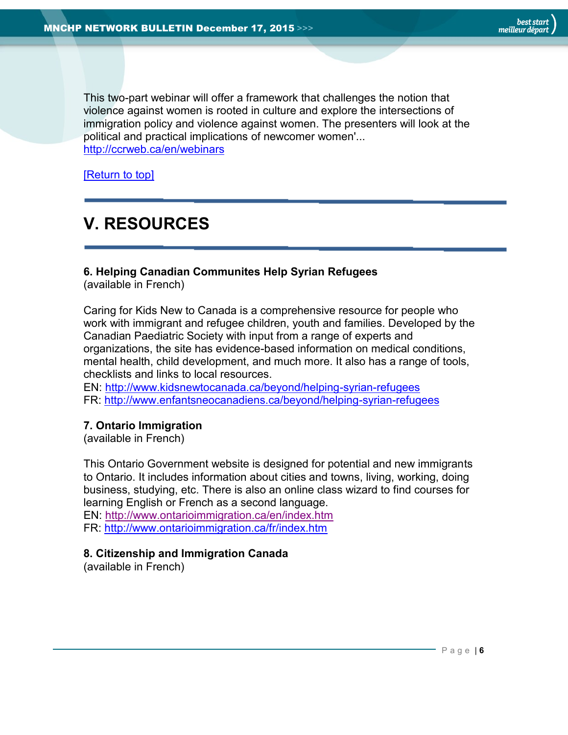best star<mark>t</mark><br>meilleur départ

This two-part webinar will offer a framework that challenges the notion that violence against women is rooted in culture and explore the intersections of immigration policy and violence against women. The presenters will look at the political and practical implications of newcomer women'... <http://ccrweb.ca/en/webinars>

[\[Return to top\]](#page-0-0)

# <span id="page-5-0"></span>**V. RESOURCES**

#### <span id="page-5-1"></span>**6. Helping Canadian Communites Help Syrian Refugees**

(available in French)

Caring for Kids New to Canada is a comprehensive resource for people who work with immigrant and refugee children, youth and families. Developed by the Canadian Paediatric Society with input from a range of experts and organizations, the site has evidence-based information on medical conditions, mental health, child development, and much more. It also has a range of tools, checklists and links to local resources.

EN:<http://www.kidsnewtocanada.ca/beyond/helping-syrian-refugees> FR:<http://www.enfantsneocanadiens.ca/beyond/helping-syrian-refugees>

#### <span id="page-5-2"></span>**7. Ontario Immigration**

(available in French)

This Ontario Government website is designed for potential and new immigrants to Ontario. It includes information about cities and towns, living, working, doing business, studying, etc. There is also an online class wizard to find courses for learning English or French as a second language. EN: <http://www.ontarioimmigration.ca/en/index.htm> FR: <http://www.ontarioimmigration.ca/fr/index.htm>

#### <span id="page-5-3"></span>**8. Citizenship and Immigration Canada**

(available in French)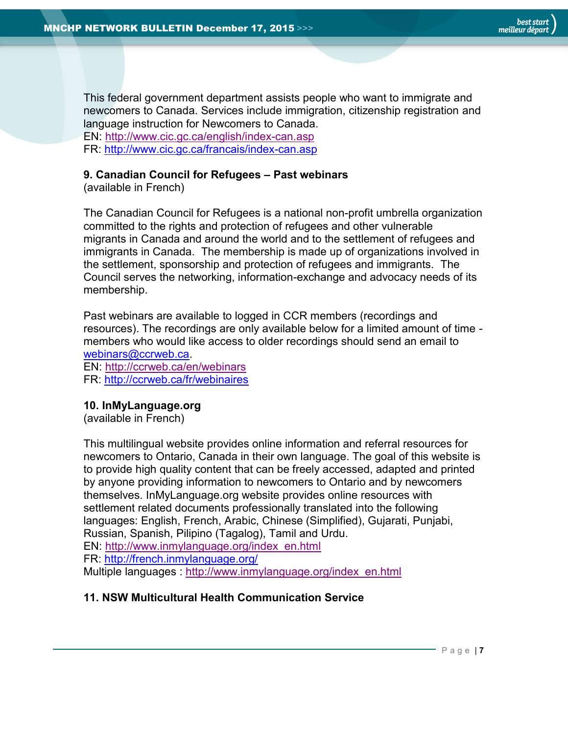

This federal government department assists people who want to immigrate and newcomers to Canada. Services include immigration, citizenship registration and language instruction for Newcomers to Canada.

EN:<http://www.cic.gc.ca/english/index-can.asp> FR:<http://www.cic.gc.ca/francais/index-can.asp>

## <span id="page-6-0"></span>**9. Canadian Council for Refugees – Past webinars**

(available in French)

The Canadian Council for Refugees is a national non-profit umbrella organization committed to the rights and protection of refugees and other vulnerable migrants in Canada and around the world and to the settlement of refugees and immigrants in Canada. The membership is made up of organizations involved in the settlement, sponsorship and protection of refugees and immigrants. The Council serves the networking, information-exchange and advocacy needs of its membership.

Past webinars are available to logged in CCR members (recordings and resources). The recordings are only available below for a limited amount of time members who would like access to older recordings should send an email to [webinars@ccrweb.ca.](mailto:webinars@ccrweb.ca)

EN:<http://ccrweb.ca/en/webinars> FR:<http://ccrweb.ca/fr/webinaires>

#### <span id="page-6-1"></span>**10. InMyLanguage.org**

(available in French)

This multilingual website provides online information and referral resources for newcomers to Ontario, Canada in their own language. The goal of this website is to provide high quality content that can be freely accessed, adapted and printed by anyone providing information to newcomers to Ontario and by newcomers themselves. InMyLanguage.org website provides online resources with settlement related documents professionally translated into the following languages: English, French, Arabic, Chinese (Simplified), Gujarati, Punjabi, Russian, Spanish, Pilipino (Tagalog), Tamil and Urdu. EN: [http://www.inmylanguage.org/index\\_en.html](http://www.inmylanguage.org/index_en.html) FR:<http://french.inmylanguage.org/> Multiple languages : [http://www.inmylanguage.org/index\\_en.html](http://www.inmylanguage.org/index_en.html)

#### <span id="page-6-2"></span>**11. NSW Multicultural Health Communication Service**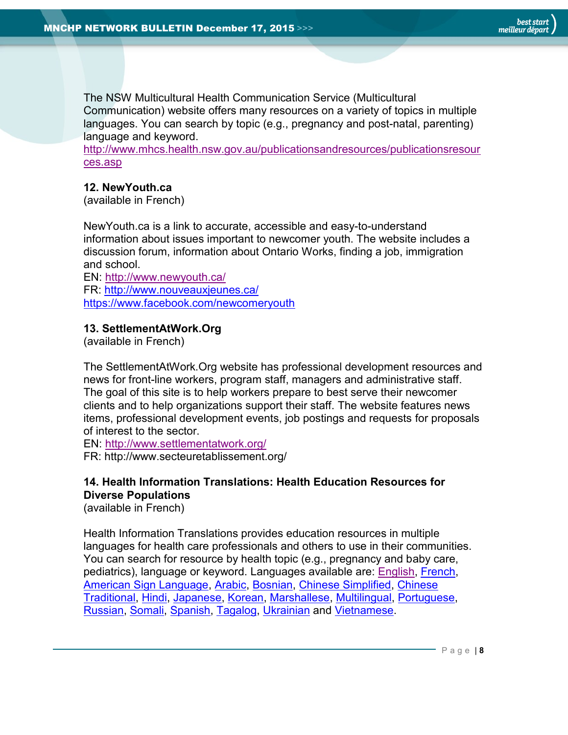The NSW Multicultural Health Communication Service (Multicultural Communication) website offers many resources on a variety of topics in multiple languages. You can search by topic (e.g., pregnancy and post-natal, parenting) language and keyword.

[http://www.mhcs.health.nsw.gov.au/publicationsandresources/publicationsresour](http://www.mhcs.health.nsw.gov.au/publicationsandresources/publicationsresources.asp) [ces.asp](http://www.mhcs.health.nsw.gov.au/publicationsandresources/publicationsresources.asp)

#### <span id="page-7-0"></span>**12. NewYouth.ca**

(available in French)

NewYouth.ca is a link to accurate, accessible and easy-to-understand information about issues important to newcomer youth. The website includes a discussion forum, information about Ontario Works, finding a job, immigration and school.

EN:<http://www.newyouth.ca/> FR:<http://www.nouveauxjeunes.ca/> <https://www.facebook.com/newcomeryouth>

#### <span id="page-7-1"></span>**13. SettlementAtWork.Org**

(available in French)

The SettlementAtWork.Org website has professional development resources and news for front-line workers, program staff, managers and administrative staff. The goal of this site is to help workers prepare to best serve their newcomer clients and to help organizations support their staff. The website features news items, professional development events, job postings and requests for proposals of interest to the sector.

EN: <http://www.settlementatwork.org/>

FR: http://www.secteuretablissement.org/

#### <span id="page-7-2"></span>**14. Health Information Translations: Health Education Resources for Diverse Populations**

(available in French)

Health Information Translations provides education resources in multiple languages for health care professionals and others to use in their communities. You can search for resource by health topic (e.g., pregnancy and baby care, pediatrics), language or keyword. Languages available are: [English,](https://www.healthinfotranslations.org/language/english/904907/) [French,](https://www.healthinfotranslations.org/language/french/946378/) [American Sign Language,](https://www.healthinfotranslations.org/language/american_sign_language/864869/) [Arabic,](https://www.healthinfotranslations.org/language/arabic/392138/) [Bosnian,](https://www.healthinfotranslations.org/language/bosnian/818139/) [Chinese Simplified,](https://www.healthinfotranslations.org/language/chinese_simplified/540811/) [Chinese](https://www.healthinfotranslations.org/language/chinese_traditional/248314/)  [Traditional,](https://www.healthinfotranslations.org/language/chinese_traditional/248314/) [Hindi,](https://www.healthinfotranslations.org/language/hindi/95723/) [Japanese,](https://www.healthinfotranslations.org/language/japanese/714208/) [Korean,](https://www.healthinfotranslations.org/language/korean/794333/) [Marshallese,](https://www.healthinfotranslations.org/language/marshallese/69952/) [Multilingual,](https://www.healthinfotranslations.org/language/multilingual/39253/) [Portuguese,](https://www.healthinfotranslations.org/language/portuguese/313986/) [Russian,](https://www.healthinfotranslations.org/language/russian/275021/) [Somali,](https://www.healthinfotranslations.org/language/somali/719705/) [Spanish,](https://www.healthinfotranslations.org/language/spanish/524152/) [Tagalog,](https://www.healthinfotranslations.org/language/tagalog/185115/) [Ukrainian](https://www.healthinfotranslations.org/language/ukrainian/22971/) and [Vietnamese.](https://www.healthinfotranslations.org/language/vietnamese/857630/)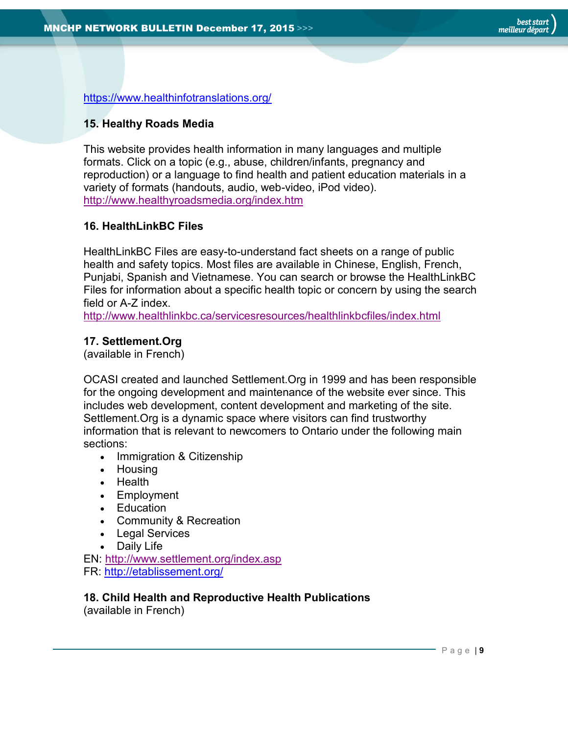<https://www.healthinfotranslations.org/>

#### <span id="page-8-0"></span>**15. Healthy Roads Media**

This website provides health information in many languages and multiple formats. Click on a topic (e.g., abuse, children/infants, pregnancy and reproduction) or a language to find health and patient education materials in a variety of formats (handouts, audio, web-video, iPod video). <http://www.healthyroadsmedia.org/index.htm>

#### <span id="page-8-1"></span>**16. HealthLinkBC Files**

HealthLinkBC Files are easy-to-understand fact sheets on a range of public health and safety topics. Most files are available in Chinese, English, French, Punjabi, Spanish and Vietnamese. You can search or browse the HealthLinkBC Files for information about a specific health topic or concern by using the search field or A-Z index.

<http://www.healthlinkbc.ca/servicesresources/healthlinkbcfiles/index.html>

#### <span id="page-8-2"></span>**17. Settlement.Org**

(available in French)

OCASI created and launched [Settlement.Org](http://www.settlement.org/index.asp) in 1999 and has been responsible for the ongoing development and maintenance of the website ever since. This includes web development, content development and marketing of the site. Settlement.Org is a dynamic space where visitors can find trustworthy information that is relevant to newcomers to Ontario under the following main sections:

- Immigration & Citizenship
- Housing
- Health
- Employment
- Education
- Community & Recreation
- Legal Services
- Daily Life

EN:<http://www.settlement.org/index.asp> FR:<http://etablissement.org/>

### <span id="page-8-3"></span>**18. Child Health and Reproductive Health Publications**

(available in French)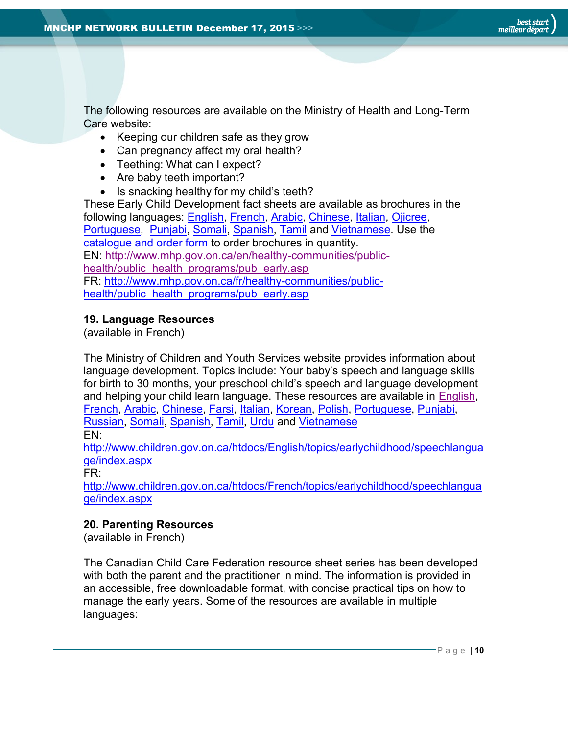The following resources are available on the Ministry of Health and Long-Term Care website:

- Keeping our children safe as they grow
- Can pregnancy affect my oral health?
- Teething: What can I expect?
- Are baby teeth important?
- Is snacking healthy for my child's teeth?

These Early Child Development fact sheets are available as brochures in the following languages: [English,](http://www.mhp.gov.on.ca/en/healthy-communities/public-health/public_health_programs/early_english_mn.asp) [French,](http://www.mhp.gov.on.ca/en/healthy-communities/public-health/public_health_programs/early_french_mn.asp) [Arabic,](http://www.mhp.gov.on.ca/en/healthy-communities/public-health/public_health_programs/early_arabic_mn.asp) [Chinese,](http://www.mhp.gov.on.ca/en/healthy-communities/public-health/public_health_programs/early_chinese_mn.asp) [Italian,](http://www.mhp.gov.on.ca/en/healthy-communities/public-health/public_health_programs/early_italian_mn.asp) [Ojicree,](http://www.mhp.gov.on.ca/en/healthy-communities/public-health/public_health_programs/early_ojicree_mn.asp) [Portuguese,](http://www.mhp.gov.on.ca/en/healthy-communities/public-health/public_health_programs/early_portuguese_mn.asp) [Punjabi,](http://www.mhp.gov.on.ca/en/healthy-communities/public-health/public_health_programs/early_punjabi_mn.asp) [Somali,](http://www.mhp.gov.on.ca/en/healthy-communities/public-health/public_health_programs/early_somali_mn.asp) [Spanish,](http://www.mhp.gov.on.ca/en/healthy-communities/public-health/public_health_programs/early_spanish_mn.asp) [Tamil](http://www.mhp.gov.on.ca/en/healthy-communities/public-health/public_health_programs/early_tamil_mn.asp) and [Vietnamese.](http://www.mhp.gov.on.ca/en/healthy-communities/public-health/public_health_programs/early_vietnamese_mn.asp) Use the [catalogue and order form](http://www.mhp.gov.on.ca/en/healthy-communities/public-health/public_health_programs/catalogue_e.pdf) to order brochures in quantity. EN: [http://www.mhp.gov.on.ca/en/healthy-communities/public](http://www.mhp.gov.on.ca/en/healthy-communities/public-health/public_health_programs/pub_early.asp)[health/public\\_health\\_programs/pub\\_early.asp](http://www.mhp.gov.on.ca/en/healthy-communities/public-health/public_health_programs/pub_early.asp) FR: [http://www.mhp.gov.on.ca/fr/healthy-communities/public](http://www.mhp.gov.on.ca/fr/healthy-communities/public-health/public_health_programs/pub_early.asp)[health/public\\_health\\_programs/pub\\_early.asp](http://www.mhp.gov.on.ca/fr/healthy-communities/public-health/public_health_programs/pub_early.asp)

#### <span id="page-9-0"></span>**19. Language Resources**

(available in French)

The Ministry of Children and Youth Services website provides information about language development. Topics include: Your baby's speech and language skills for birth to 30 months, your preschool child's speech and language development and helping your child learn language. These resources are available in [English,](http://www.children.gov.on.ca/htdocs/English/topics/earlychildhood/speechlanguage/brochure_speech.aspx) [French,](http://www.children.gov.on.ca/htdocs/French/topics/earlychildhood/speechlanguage/brochure_speech.aspx) [Arabic,](http://www.children.gov.on.ca/htdocs/English/documents/topics/earlychildhood/speech_ar.pdf) [Chinese,](http://www.children.gov.on.ca/htdocs/English/documents/topics/earlychildhood/speech_ch.pdf) [Farsi,](http://www.children.gov.on.ca/htdocs/English/documents/topics/earlychildhood/speech_fa.pdf) [Italian,](http://www.children.gov.on.ca/htdocs/English/documents/topics/earlychildhood/speech_it.pdf) [Korean,](http://www.children.gov.on.ca/htdocs/English/documents/topics/earlychildhood/speech_ko.pdf) [Polish,](http://www.children.gov.on.ca/htdocs/English/documents/topics/earlychildhood/speech_po.pdf) [Portuguese,](http://www.children.gov.on.ca/htdocs/English/documents/topics/earlychildhood/speech_pr.pdf) [Punjabi,](http://www.children.gov.on.ca/htdocs/English/documents/topics/earlychildhood/speech_pu.pdf) [Russian,](http://www.children.gov.on.ca/htdocs/English/documents/topics/earlychildhood/speech_ru.pdf) [Somali,](http://www.children.gov.on.ca/htdocs/English/documents/topics/earlychildhood/speech_so.pdf) [Spanish,](http://www.children.gov.on.ca/htdocs/English/documents/topics/earlychildhood/speech_sp.pdf) [Tamil,](http://www.children.gov.on.ca/htdocs/English/documents/topics/earlychildhood/speech_ta.pdf) [Urdu](http://www.children.gov.on.ca/htdocs/English/documents/topics/earlychildhood/speech_ur.pdf) and [Vietnamese](http://www.children.gov.on.ca/htdocs/English/documents/topics/earlychildhood/speech_vi.pdf)

EN:

[http://www.children.gov.on.ca/htdocs/English/topics/earlychildhood/speechlangua](http://www.children.gov.on.ca/htdocs/English/topics/earlychildhood/speechlanguage/index.aspx) [ge/index.aspx](http://www.children.gov.on.ca/htdocs/English/topics/earlychildhood/speechlanguage/index.aspx)

FR:

[http://www.children.gov.on.ca/htdocs/French/topics/earlychildhood/speechlangua](http://www.children.gov.on.ca/htdocs/French/topics/earlychildhood/speechlanguage/index.aspx) [ge/index.aspx](http://www.children.gov.on.ca/htdocs/French/topics/earlychildhood/speechlanguage/index.aspx)

#### <span id="page-9-1"></span>**20. Parenting Resources**

(available in French)

The Canadian Child Care Federation resource sheet series has been developed with both the parent and the practitioner in mind. The information is provided in an accessible, free downloadable format, with concise practical tips on how to manage the early years. Some of the resources are available in multiple languages: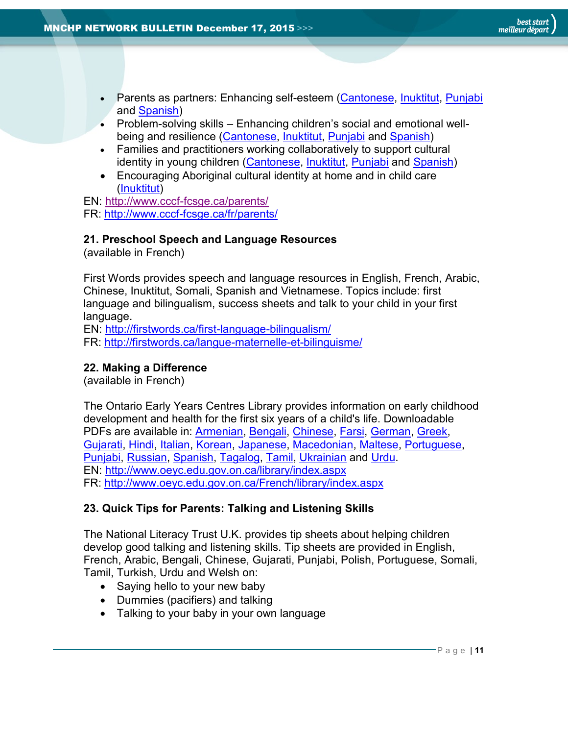- Parents as partners: Enhancing self-esteem [\(Cantonese,](http://www.cccf-fcsge.ca/wp-content/uploads/RS_89_chinese.pdf) [Inuktitut,](http://www.cccf-fcsge.ca/wp-content/uploads/RS_89_inuk.pdf) [Punjabi](http://www.cccf-fcsge.ca/wp-content/uploads/RS_89_punjabi.pdf) and [Spanish\)](http://www.cccf-fcsge.ca/wp-content/uploads/RS_89_spanish.pdf)
- Problem-solving skills Enhancing children's social and emotional wellbeing and resilience [\(Cantonese,](http://www.cccf-fcsge.ca/wp-content/uploads/RS_90_chinese.pdf) [Inuktitut,](http://www.cccf-fcsge.ca/wp-content/uploads/RS_90_inuk.pdf) [Punjabi](http://www.cccf-fcsge.ca/wp-content/uploads/RS_90_punjabi.pdf) and [Spanish\)](http://www.cccf-fcsge.ca/wp-content/uploads/RS_90_spanish.pdf)
- Families and practitioners working collaboratively to support cultural identity in young children [\(Cantonese,](http://www.cccf-fcsge.ca/wp-content/uploads/RS_91_chinese.pdf) [Inuktitut,](http://www.cccf-fcsge.ca/wp-content/uploads/RS_91_inuk.pdf) [Punjabi](http://www.cccf-fcsge.ca/wp-content/uploads/RS_91_punjabi.pdf) and [Spanish\)](http://www.cccf-fcsge.ca/wp-content/uploads/RS_91_spanish.pdf)
- Encouraging Aboriginal cultural identity at home and in child care [\(Inuktitut\)](http://www.cccf-fcsge.ca/wp-content/uploads/RS_92_inuk.pdf)

EN:<http://www.cccf-fcsge.ca/parents/>

FR:<http://www.cccf-fcsge.ca/fr/parents/>

#### <span id="page-10-0"></span>**21. Preschool Speech and Language Resources**

(available in French)

First Words provides speech and language resources in English, French, Arabic, Chinese, Inuktitut, Somali, Spanish and Vietnamese. Topics include: first language and bilingualism, success sheets and talk to your child in your first language.

EN:<http://firstwords.ca/first-language-bilingualism/>

FR:<http://firstwords.ca/langue-maternelle-et-bilinguisme/>

#### <span id="page-10-1"></span>**22. Making a Difference**

(available in French)

The Ontario Early Years Centres Library provides information on early childhood development and health for the first six years of a child's life. Downloadable PDFs are available in: [Armenian,](http://www.children.gov.on.ca/htdocs/English/documents/topics/earlychildhood/oeyc_ar.pdf) [Bengali,](http://www.children.gov.on.ca/htdocs/English/documents/topics/earlychildhood/oeyc_be.pdf) [Chinese,](http://www.children.gov.on.ca/htdocs/English/documents/topics/earlychildhood/oeyc_ch.pdf) [Farsi,](http://www.children.gov.on.ca/htdocs/English/documents/topics/earlychildhood/oeyc_fa.pdf) [German,](http://www.children.gov.on.ca/htdocs/English/documents/topics/earlychildhood/oeyc_ge.pdf) [Greek,](http://www.children.gov.on.ca/htdocs/English/documents/topics/earlychildhood/oeyc_gr.pdf) [Gujarati,](http://www.children.gov.on.ca/htdocs/English/documents/topics/earlychildhood/oeyc_gu.pdf) [Hindi,](http://www.children.gov.on.ca/htdocs/English/documents/topics/earlychildhood/oeyc_hi.pdf) [Italian,](http://www.children.gov.on.ca/htdocs/English/documents/topics/earlychildhood/oeyc_it.pdf) [Korean,](http://www.children.gov.on.ca/htdocs/English/documents/topics/earlychildhood/oeyc_ko.pdf) [Japanese,](http://www.children.gov.on.ca/htdocs/English/documents/topics/earlychildhood/oeyc_ja.pdf) [Macedonian,](http://www.children.gov.on.ca/htdocs/English/documents/topics/earlychildhood/oeyc_ma.pdf) [Maltese,](http://www.children.gov.on.ca/htdocs/English/documents/topics/earlychildhood/oeyc_ml.pdf) [Portuguese,](http://www.children.gov.on.ca/htdocs/English/documents/topics/earlychildhood/oeyc_po.pdf) [Punjabi,](http://www.children.gov.on.ca/htdocs/English/documents/topics/earlychildhood/oeyc_pu.pdf) [Russian,](http://www.children.gov.on.ca/htdocs/English/documents/topics/earlychildhood/oeyc_ru.pdf) [Spanish,](http://www.children.gov.on.ca/htdocs/English/documents/topics/earlychildhood/oeyc_sp.pdf) [Tagalog,](http://www.children.gov.on.ca/htdocs/English/documents/topics/earlychildhood/oeyc_ta.pdf) [Tamil,](http://www.children.gov.on.ca/htdocs/English/documents/topics/earlychildhood/oeyc_tm.pdf) [Ukrainian](http://www.children.gov.on.ca/htdocs/English/documents/topics/earlychildhood/oeyc_uk.pdf) and [Urdu.](http://www.children.gov.on.ca/htdocs/English/documents/topics/earlychildhood/oeyc_ur.pdf) EN:<http://www.oeyc.edu.gov.on.ca/library/index.aspx> FR:<http://www.oeyc.edu.gov.on.ca/French/library/index.aspx>

#### <span id="page-10-2"></span>**23. Quick Tips for Parents: Talking and Listening Skills**

The National Literacy Trust U.K. provides tip sheets about helping children develop good talking and listening skills. Tip sheets are provided in English, French, Arabic, Bengali, Chinese, Gujarati, Punjabi, Polish, Portuguese, Somali, Tamil, Turkish, Urdu and Welsh on:

- Saying hello to your new baby
- Dummies (pacifiers) and talking
- Talking to your baby in your own language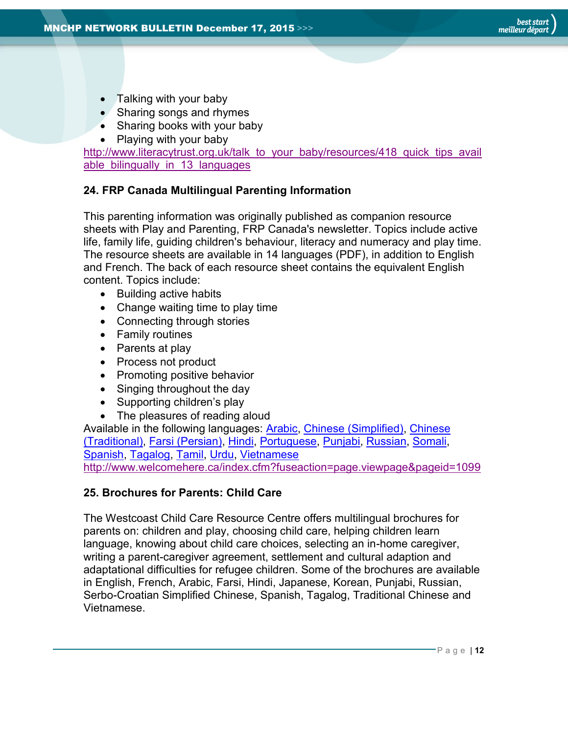- Talking with your baby
- Sharing songs and rhymes
- Sharing books with your baby
- Playing with your baby

[http://www.literacytrust.org.uk/talk\\_to\\_your\\_baby/resources/418\\_quick\\_tips\\_avail](http://www.literacytrust.org.uk/talk_to_your_baby/resources/418_quick_tips_available_bilingually_in_13_languages) able bilingually in 13 languages

#### <span id="page-11-0"></span>**24. FRP Canada Multilingual Parenting Information**

This parenting information was originally published as companion resource sheets with Play and Parenting, FRP Canada's newsletter. Topics include active life, family life, guiding children's behaviour, literacy and numeracy and play time. The resource sheets are available in 14 languages (PDF), in addition to English and French. The back of each resource sheet contains the equivalent English content. Topics include:

- Building active habits
- Change waiting time to play time
- Connecting through stories
- Family routines
- Parents at play
- Process not product
- Promoting positive behavior
- Singing throughout the day
- Supporting children's play
- The pleasures of reading aloud

Available in the following languages: **Arabic, [Chinese](http://www.welcomehere.ca/index.cfm?fuseaction=page.viewpage&pageid=1099&stopRedirect=1#ChineseTradSheets) (Simplified)**, Chinese [\(Traditional\),](http://www.welcomehere.ca/index.cfm?fuseaction=page.viewpage&pageid=1099&stopRedirect=1#ChineseTradSheets) [Farsi \(Persian\),](http://www.welcomehere.ca/index.cfm?fuseaction=page.viewpage&pageid=1099&stopRedirect=1#FarsiSheets) [Hindi,](http://www.welcomehere.ca/index.cfm?fuseaction=page.viewpage&pageid=1099&stopRedirect=1#HindiSheets) [Portuguese,](http://www.welcomehere.ca/index.cfm?fuseaction=page.viewpage&pageid=1099&stopRedirect=1#PortuqueseSheets) [Punjabi,](http://www.welcomehere.ca/index.cfm?fuseaction=page.viewpage&pageid=1099&stopRedirect=1#PunjabiSheets) [Russian,](http://www.welcomehere.ca/index.cfm?fuseaction=page.viewpage&pageid=1099&stopRedirect=1#RussianSheets) [Somali,](http://www.welcomehere.ca/index.cfm?fuseaction=page.viewpage&pageid=1099&stopRedirect=1#SomaliSheets) [Spanish,](http://www.welcomehere.ca/index.cfm?fuseaction=page.viewpage&pageid=1099&stopRedirect=1#SpanishSheets) [Tagalog,](http://www.welcomehere.ca/index.cfm?fuseaction=page.viewpage&pageid=1099&stopRedirect=1#TagalogSheets) [Tamil,](http://www.welcomehere.ca/index.cfm?fuseaction=page.viewpage&pageid=1099&stopRedirect=1#TamilSheets) [Urdu,](http://www.welcomehere.ca/index.cfm?fuseaction=page.viewpage&pageid=1099&stopRedirect=1#UrduSheets) [Vietnamese](http://www.welcomehere.ca/index.cfm?fuseaction=page.viewpage&pageid=1099&stopRedirect=1#VietnameseSheets) <http://www.welcomehere.ca/index.cfm?fuseaction=page.viewpage&pageid=1099>

#### <span id="page-11-1"></span>**25. Brochures for Parents: Child Care**

The Westcoast Child Care Resource Centre offers multilingual brochures for parents on: children and play, choosing child care, helping children learn language, knowing about child care choices, selecting an in-home caregiver, writing a parent-caregiver agreement, settlement and cultural adaption and adaptational difficulties for refugee children. Some of the brochures are available in English, French, Arabic, Farsi, Hindi, Japanese, Korean, Punjabi, Russian, Serbo-Croatian Simplified Chinese, Spanish, Tagalog, Traditional Chinese and Vietnamese.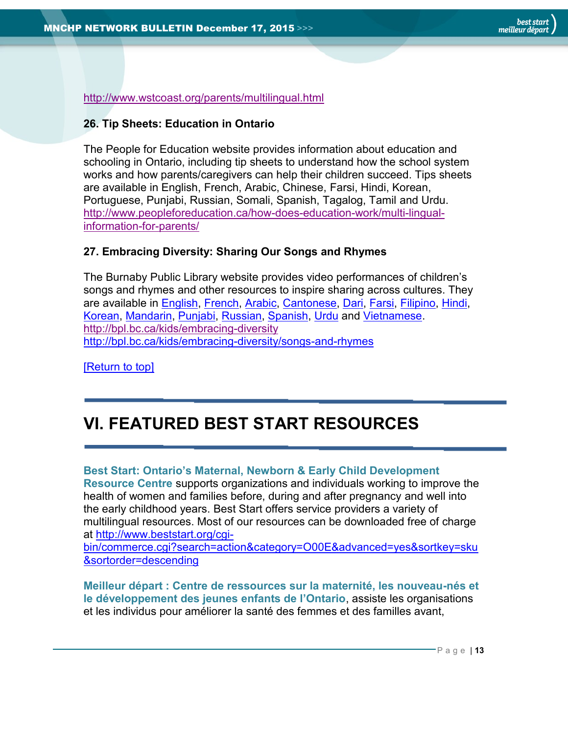<http://www.wstcoast.org/parents/multilingual.html>

#### <span id="page-12-0"></span>**26. Tip Sheets: Education in Ontario**

The People for Education website provides information about education and schooling in Ontario, including tip sheets to understand how the school system works and how parents/caregivers can help their children succeed. Tips sheets are available in English, French, Arabic, Chinese, Farsi, Hindi, Korean, Portuguese, Punjabi, Russian, Somali, Spanish, Tagalog, Tamil and Urdu. [http://www.peopleforeducation.ca/how-does-education-work/multi-lingual](http://www.peopleforeducation.ca/how-does-education-work/multi-lingual-information-for-parents/)[information-for-parents/](http://www.peopleforeducation.ca/how-does-education-work/multi-lingual-information-for-parents/)

#### <span id="page-12-1"></span>**27. Embracing Diversity: Sharing Our Songs and Rhymes**

The Burnaby Public Library website provides video performances of children's songs and rhymes and other resources to inspire sharing across cultures. They are available in [English,](http://bpl.bc.ca/kids/embracing-diversity/songs-and-rhymes/english) [French,](http://bpl.bc.ca/kids/embracing-diversity/songs-and-rhymes/french) [Arabic,](http://bpl.bc.ca/kids/embracing-diversity/songs-and-rhymes/arabic) [Cantonese,](http://bpl.bc.ca/kids/embracing-diversity/songs-and-rhymes/cantonese) [Dari,](http://bpl.bc.ca/kids/embracing-diversity/songs-and-rhymes/dari) [Farsi,](http://bpl.bc.ca/kids/embracing-diversity/songs-and-rhymes/farsi) [Filipino,](http://bpl.bc.ca/kids/embracing-diversity/songs-and-rhymes/filipino) [Hindi,](http://bpl.bc.ca/kids/embracing-diversity/songs-and-rhymes/hindi) [Korean,](http://bpl.bc.ca/kids/embracing-diversity/songs-and-rhymes/korean) [Mandarin,](http://bpl.bc.ca/kids/embracing-diversity/songs-and-rhymes/mandarin) [Punjabi,](http://bpl.bc.ca/kids/embracing-diversity/songs-and-rhymes/punjabi) [Russian,](http://bpl.bc.ca/kids/embracing-diversity/songs-and-rhymes/russian) [Spanish,](http://bpl.bc.ca/kids/embracing-diversity/songs-and-rhymes/spanish) [Urdu](http://bpl.bc.ca/kids/embracing-diversity/songs-and-rhymes/urdu) and [Vietnamese.](http://bpl.bc.ca/kids/embracing-diversity/songs-and-rhymes/vietnamese) <http://bpl.bc.ca/kids/embracing-diversity> <http://bpl.bc.ca/kids/embracing-diversity/songs-and-rhymes>

[\[Return to top\]](#page-0-0)

# <span id="page-12-2"></span>**VI. FEATURED BEST START RESOURCES**

#### **Best Start: Ontario's Maternal, Newborn & Early Child Development**

**Resource Centre** supports organizations and individuals working to improve the health of women and families before, during and after pregnancy and well into the early childhood years. Best Start offers service providers a variety of multilingual resources. Most of our resources can be downloaded free of charge at [http://www.beststart.org/cgi-](http://www.beststart.org/cgi-bin/commerce.cgi?search=action&category=O00E&advanced=yes&sortkey=sku&sortorder=descending)

[bin/commerce.cgi?search=action&category=O00E&advanced=yes&sortkey=sku](http://www.beststart.org/cgi-bin/commerce.cgi?search=action&category=O00E&advanced=yes&sortkey=sku&sortorder=descending) [&sortorder=descending](http://www.beststart.org/cgi-bin/commerce.cgi?search=action&category=O00E&advanced=yes&sortkey=sku&sortorder=descending)

**Meilleur départ : Centre de ressources sur la maternité, les nouveau-nés et le développement des jeunes enfants de l'Ontario**, assiste les organisations et les individus pour améliorer la santé des femmes et des familles avant,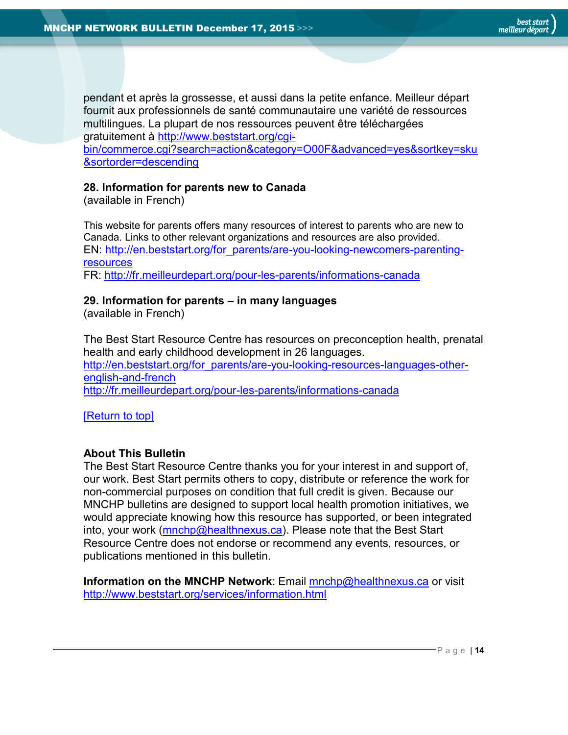pendant et après la grossesse, et aussi dans la petite enfance. Meilleur départ fournit aux professionnels de santé communautaire une variété de ressources multilingues. La plupart de nos ressources peuvent être téléchargées gratuitement à [http://www.beststart.org/cgi-](http://www.beststart.org/cgi-bin/commerce.cgi?search=action&category=O00F&advanced=yes&sortkey=sku&sortorder=descending)

[bin/commerce.cgi?search=action&category=O00F&advanced=yes&sortkey=sku](http://www.beststart.org/cgi-bin/commerce.cgi?search=action&category=O00F&advanced=yes&sortkey=sku&sortorder=descending) [&sortorder=descending](http://www.beststart.org/cgi-bin/commerce.cgi?search=action&category=O00F&advanced=yes&sortkey=sku&sortorder=descending)

#### <span id="page-13-1"></span>**28. Information for parents new to Canada**

(available in French)

This website for parents offers many resources of interest to parents who are new to Canada. Links to other relevant organizations and resources are also provided. EN: [http://en.beststart.org/for\\_parents/are-you-looking-newcomers-parenting](http://en.beststart.org/for_parents/are-you-looking-newcomers-parenting-resources)[resources](http://en.beststart.org/for_parents/are-you-looking-newcomers-parenting-resources) FR:<http://fr.meilleurdepart.org/pour-les-parents/informations-canada>

#### <span id="page-13-2"></span>**29. Information for parents – in many languages**

(available in French)

The Best Start Resource Centre has resources on preconception health, prenatal health and early childhood development in 26 languages. [http://en.beststart.org/for\\_parents/are-you-looking-resources-languages-other](http://en.beststart.org/for_parents/are-you-looking-resources-languages-other-english-and-french)[english-and-french](http://en.beststart.org/for_parents/are-you-looking-resources-languages-other-english-and-french) <http://fr.meilleurdepart.org/pour-les-parents/informations-canada>

[\[Return](#page-0-0) to top]

#### <span id="page-13-0"></span>**About This Bulletin**

The Best Start Resource Centre thanks you for your interest in and support of, our work. Best Start permits others to copy, distribute or reference the work for non-commercial purposes on condition that full credit is given. Because our MNCHP bulletins are designed to support local health promotion initiatives, we would appreciate knowing how this resource has supported, or been integrated into, your work [\(mnchp@healthnexus.ca\)](mailto:mnchp@healthnexus.ca). Please note that the Best Start Resource Centre does not endorse or recommend any events, resources, or publications mentioned in this bulletin.

**Information on the MNCHP Network**: Email [mnchp@healthnexus.ca](mailto:mnchp@healthnexus.ca) or visit <http://www.beststart.org/services/information.html>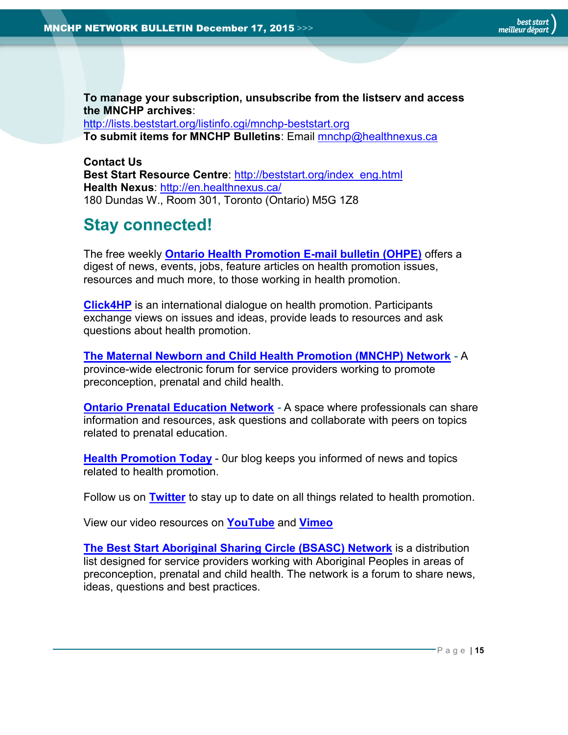**To manage your subscription, unsubscribe from the listserv and access the MNCHP archives**:

<http://lists.beststart.org/listinfo.cgi/mnchp-beststart.org> **To submit items for MNCHP Bulletins**: Email [mnchp@healthnexus.ca](mailto:mnchp@healthnexus.ca)

**Contact Us Best Start Resource Centre**: [http://beststart.org/index\\_eng.html](http://beststart.org/index_eng.html) **Health Nexus**:<http://en.healthnexus.ca/> 180 Dundas W., Room 301, Toronto (Ontario) M5G 1Z8

## **Stay connected!**

The free weekly **[Ontario Health Promotion E-mail bulletin \(OHPE\)](http://www.ohpe.ca/)** offers a digest of news, events, jobs, feature articles on health promotion issues, resources and much more, to those working in health promotion.

**[Click4HP](https://listserv.yorku.ca/archives/click4hp.html)** is an international dialogue on health promotion. Participants exchange views on issues and ideas, provide leads to resources and ask questions about health promotion.

**[The Maternal Newborn and Child Health Promotion \(MNCHP\) Network](http://www.beststart.org/services/MNCHP.html) -** A province-wide electronic forum for service providers working to promote preconception, prenatal and child health.

**[Ontario Prenatal Education Network](http://fluidsurveys.com/surveys/ohpe/subscriptionsopen2015-2016/) -** A space where professionals can share information and resources, ask questions and collaborate with peers on topics related to prenatal education.

**[Health Promotion Today](http://en.healthnexus.ca/)** - Our blog keeps you informed of news and topics related to health promotion.

Follow us on **[Twitter](https://twitter.com/Health_Nexus)** to stay up to date on all things related to health promotion.

View our video resources on **[YouTube](http://www.youtube.com/user/healthnexussante)** and **[Vimeo](https://vimeo.com/user9493317)**

**[The Best Start Aboriginal Sharing Circle \(BSASC\) Network](http://lists.beststart.org/listinfo.cgi/bsasc-beststart.org)** is a distribution list designed for service providers working with Aboriginal Peoples in areas of preconception, prenatal and child health. The network is a forum to share news, ideas, questions and best practices.